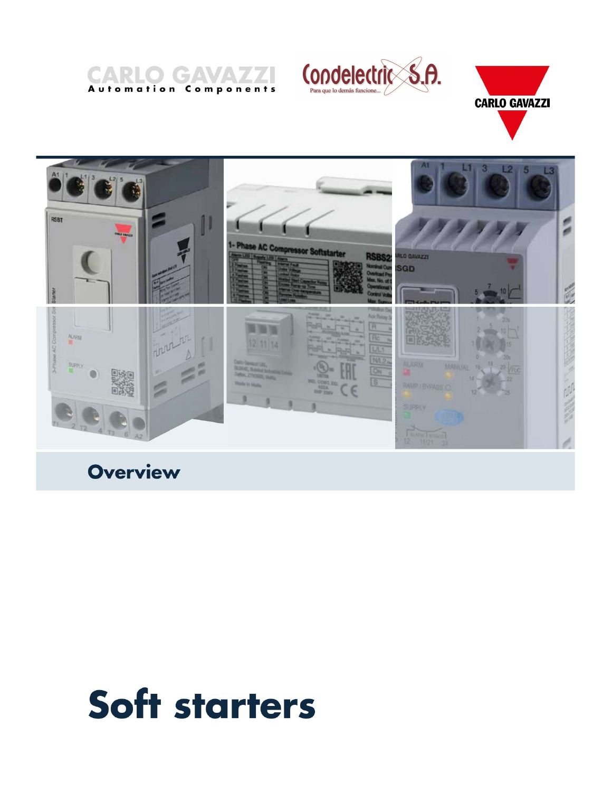







**Overview** 

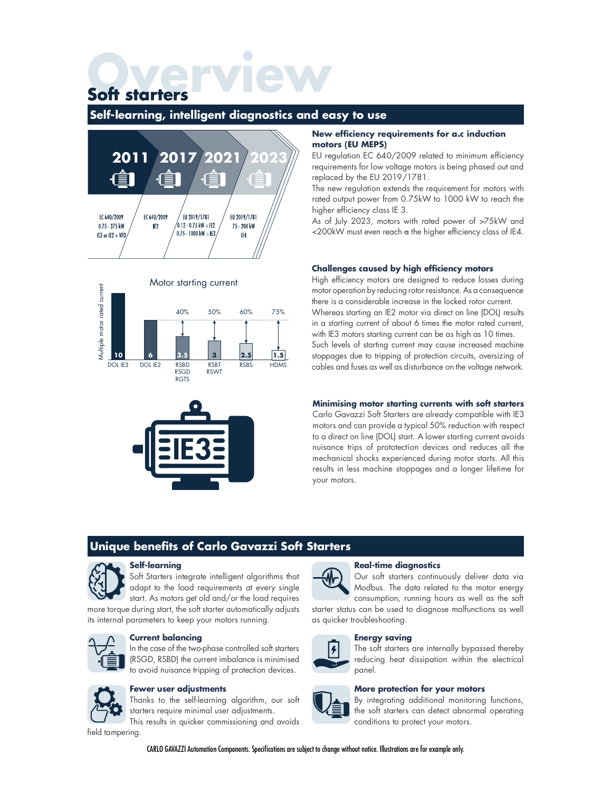# Soft starters **VIEW**

### Self-learning, intelligent diagnostics and easy to use







### New efficiency requirements for a.c induction motors (EU MEPS)

EU regulation EC 640/2009 related to minimum efficiency requirements for low voltage motors is being phased out and replaced by the EU 2019/1781.

The new regulation extends the requirement for motors with rated output power from 0.75kW to 1000 kW to reach the higher efficiency class IE 3.

As of July 2023, motors with rated power of >75kW and <200kW must even reach a the higher efficiency class of IE4.

### Challenges caused by high efficiency motors

High efficiency motors are designed to reduce losses during motor operation by reducing rotor resistance. As a consequence there is a considerable increase in the locked rotor current. Whereas starting an IE2 motor via direct on line (DOL) results in a starting current of about 6 times the motor rated current,

with IE3 motors starting current can be as high as 10 times. Such levels of starting current may cause increased machine stoppages due to tripping of protection circuits, oversizing of cables and fuses as well as disturbance on the voltage network.

### Minimising motor starting currents with soft starters

Carlo Gavazzi Soft Starters are already compatible with IE3 motors and can provide a typical 50% reduction with respect to a direct on line (DOL) start. A lower starting current avoids nuisance trips of prototection devices and reduces all the mechanical shocks experienced during motor starts. All this results in less machine stoppages and a longer lifetime for your motors.

### Unique benefits of Carlo Gavazzi Soft Starters



### Self-learning

Soft Starters integrate intelligent algorithms that adapt to the load requirements at every single start. As motors get old and/or the load requires

more torque during start, the soft starter automatically adjusts its internal parameters to keep your motors running.



### Current balancing

In the case of the two-phase controlled soft starters  $\left| \right. \bullet$ (RSGD, RSBD) the current imbalance is minimised to avoid nuisance tripping of protection devices.



### Fewer user adjustments

Thanks to the self-learning algorithm, our soft starters require minimal user adjustments. This results in quicker commissioning and avoids

field tampering.



### Real-time diagnostics

Our soft starters continuously deliver data via Modbus. The data related to the motor energy consumption, running hours as well as the soft

starter status can be used to diagnose malfunctions as well as quicker troubleshooting.

### Energy saving

The soft starters are internally bypassed thereby reducing heat dissipation within the electrical panel.

### More protection for your motors



By integrating additional monitoring functions, the soft starters can detect abnormal operating conditions to protect your motors.

CARLO GAVAZZI Automation Components. Specifications are subject to change without notice. Illustrations are for example only.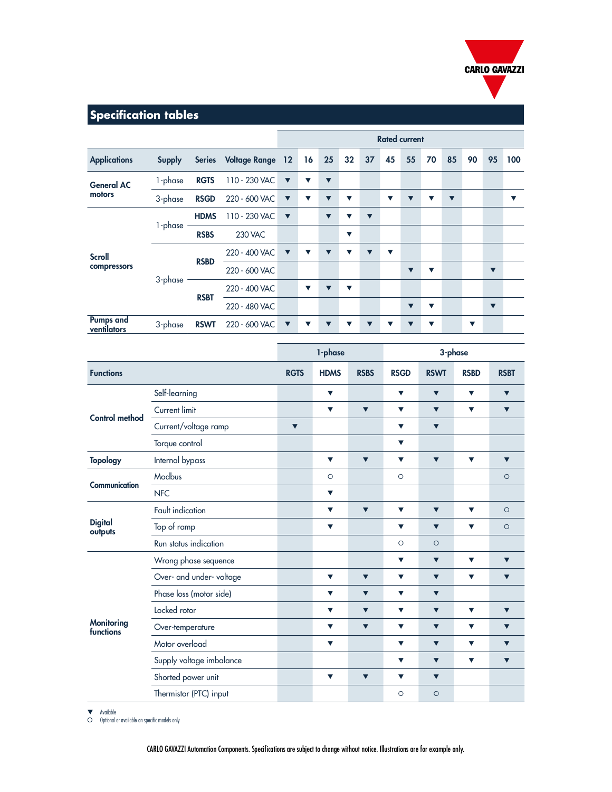

## Specification tables

|                             |                      |             |                         |                          |                      |                      |                       |                      |                         |                       |                      |                      |                      |                      | <b>CARLO GAVAZZI</b> |
|-----------------------------|----------------------|-------------|-------------------------|--------------------------|----------------------|----------------------|-----------------------|----------------------|-------------------------|-----------------------|----------------------|----------------------|----------------------|----------------------|----------------------|
|                             |                      |             |                         |                          |                      |                      |                       |                      |                         |                       |                      |                      |                      |                      |                      |
|                             |                      |             |                         |                          |                      |                      |                       |                      |                         |                       |                      |                      |                      |                      |                      |
| <b>Specification tables</b> |                      |             |                         |                          |                      |                      |                       |                      |                         |                       |                      |                      |                      |                      |                      |
|                             |                      |             |                         |                          |                      |                      |                       |                      | <b>Rated current</b>    |                       |                      |                      |                      |                      |                      |
| <b>Applications</b>         | Supply               |             | Series Voltage Range 12 |                          | 16                   | 25                   | 32                    | 37                   | 45                      | 55                    | 70                   | 85                   | 90                   | 95                   | 100                  |
|                             | 1-phase              | <b>RGTS</b> | 110 - 230 VAC           | $\overline{\phantom{a}}$ | $\blacktriangledown$ | $\blacktriangledown$ |                       |                      |                         |                       |                      |                      |                      |                      |                      |
| <b>General AC</b><br>motors | 3-phase              | <b>RSGD</b> | 220 - 600 VAC           | $\blacktriangledown$     | $\blacktriangledown$ | $\blacktriangledown$ | $\boldsymbol{\nabla}$ |                      | $\blacktriangledown$    | $\blacktriangledown$  | $\blacktriangledown$ | $\blacktriangledown$ |                      |                      | $\blacktriangledown$ |
|                             |                      | <b>HDMS</b> | 110 - 230 VAC ▼         |                          |                      | $\blacktriangledown$ | $\blacktriangledown$  | $\blacktriangledown$ |                         |                       |                      |                      |                      |                      |                      |
|                             | 1-phase              | <b>RSBS</b> | <b>230 VAC</b>          |                          |                      |                      | $\blacktriangledown$  |                      |                         |                       |                      |                      |                      |                      |                      |
| <b>Scroll</b>               |                      |             | 220 - 400 VAC           | $\blacktriangledown$     | $\blacktriangledown$ | $\blacktriangledown$ | $\blacktriangledown$  | $\blacktriangledown$ | $\overline{\mathbf{v}}$ |                       |                      |                      |                      |                      |                      |
| compressors                 |                      | <b>RSBD</b> | 220 - 600 VAC           |                          |                      |                      |                       |                      |                         | $\blacktriangledown$  | $\blacktriangledown$ |                      |                      | $\blacktriangledown$ |                      |
|                             | 3-phase              |             | 220 - 400 VAC           |                          | $\blacktriangledown$ | $\blacktriangledown$ | $\blacktriangledown$  |                      |                         |                       |                      |                      |                      |                      |                      |
|                             |                      | <b>RSBT</b> | 220 - 480 VAC           |                          |                      |                      |                       |                      |                         | $\blacktriangledown$  | $\blacktriangledown$ |                      |                      | $\blacktriangledown$ |                      |
| Pumps and<br>ventilators    | 3-phase              | <b>RSWT</b> | 220 - 600 VAC           | $\blacktriangledown$     | $\blacktriangledown$ | $\blacktriangledown$ | $\blacktriangledown$  | $\blacktriangledown$ | $\blacktriangledown$    | $\blacktriangledown$  | $\blacktriangledown$ |                      | $\blacktriangledown$ |                      |                      |
|                             |                      |             |                         |                          |                      | 1-phase              |                       |                      |                         |                       |                      | 3-phase              |                      |                      |                      |
| <b>Functions</b>            |                      |             |                         | <b>RGTS</b>              |                      | <b>HDMS</b>          |                       | <b>RSBS</b>          |                         | <b>RSGD</b>           | <b>RSWT</b>          |                      | <b>RSBD</b>          |                      | <b>RSBT</b>          |
|                             | Self-learning        |             |                         |                          |                      | $\blacktriangledown$ |                       |                      |                         | $\boldsymbol{\nabla}$ | $\blacktriangledown$ |                      | $\blacktriangledown$ |                      | $\blacktriangledown$ |
|                             | Current limit        |             |                         |                          |                      | $\blacktriangledown$ |                       | $\blacktriangledown$ |                         | $\blacktriangledown$  | $\blacktriangledown$ |                      | $\blacktriangledown$ |                      | $\blacktriangledown$ |
| Control method              | Current/voltage ramp |             |                         |                          | $\blacktriangledown$ |                      |                       |                      |                         | $\blacktriangledown$  | $\blacktriangledown$ |                      |                      |                      |                      |
|                             | Torque control       |             |                         |                          |                      |                      |                       |                      |                         | $\boldsymbol{\nabla}$ |                      |                      |                      |                      |                      |
| <b>Topology</b>             | Internal bypass      |             |                         |                          |                      | $\blacktriangledown$ |                       | $\blacktriangledown$ |                         | $\boldsymbol{\nabla}$ | $\blacktriangledown$ |                      | $\blacktriangledown$ |                      | $\blacktriangledown$ |
| Communication               | Modbus               |             |                         |                          |                      | $\circ$              |                       |                      |                         | $\circ$               |                      |                      |                      |                      | $\circ$              |
|                             | NFC                  |             |                         |                          |                      | $\blacktriangledown$ |                       |                      |                         |                       |                      |                      |                      |                      |                      |

| General AC                                                                                    |                          |             |                                                                                                                               |                      |                      |                      |                         |                      |                       |                       |                         |                      |                       |                                                                                                                                                                                                                                                                      |                      |
|-----------------------------------------------------------------------------------------------|--------------------------|-------------|-------------------------------------------------------------------------------------------------------------------------------|----------------------|----------------------|----------------------|-------------------------|----------------------|-----------------------|-----------------------|-------------------------|----------------------|-----------------------|----------------------------------------------------------------------------------------------------------------------------------------------------------------------------------------------------------------------------------------------------------------------|----------------------|
| motors                                                                                        | 3-phase                  | <b>RSGD</b> | 220 - 600 VAC                                                                                                                 | $\blacktriangledown$ | $\blacktriangledown$ | $\blacktriangledown$ | $\blacktriangledown$    |                      | $\blacktriangledown$  | $\blacktriangledown$  | $\blacktriangledown$    | $\blacktriangledown$ |                       |                                                                                                                                                                                                                                                                      | $\blacktriangledown$ |
|                                                                                               |                          | <b>HDMS</b> | 110 - 230 VAC                                                                                                                 | $\blacktriangledown$ |                      | $\blacktriangledown$ | $\blacktriangledown$    | $\blacktriangledown$ |                       |                       |                         |                      |                       |                                                                                                                                                                                                                                                                      |                      |
|                                                                                               | 1-phase                  | <b>RSBS</b> | <b>230 VAC</b>                                                                                                                |                      |                      |                      | $\blacktriangledown$    |                      |                       |                       |                         |                      |                       |                                                                                                                                                                                                                                                                      |                      |
| Scroll                                                                                        |                          |             | 220 - 400 VAC                                                                                                                 | $\blacktriangledown$ | $\blacktriangledown$ | $\blacktriangledown$ | $\blacktriangledown$    | $\blacktriangledown$ | $\boldsymbol{\nabla}$ |                       |                         |                      |                       |                                                                                                                                                                                                                                                                      |                      |
| compressors                                                                                   |                          | <b>RSBD</b> | 220 - 600 VAC                                                                                                                 |                      |                      |                      |                         |                      |                       | $\blacktriangledown$  | $\boldsymbol{\nabla}$   |                      |                       | $\blacktriangledown$                                                                                                                                                                                                                                                 |                      |
|                                                                                               | 3-phase                  |             | 220 - 400 VAC                                                                                                                 |                      | $\blacktriangledown$ | $\blacktriangledown$ | $\overline{\mathbf{v}}$ |                      |                       |                       |                         |                      |                       |                                                                                                                                                                                                                                                                      |                      |
|                                                                                               |                          | <b>RSBT</b> | 220 - 480 VAC                                                                                                                 |                      |                      |                      |                         |                      |                       | $\blacktriangledown$  | $\blacktriangledown$    |                      |                       | $\blacktriangledown$                                                                                                                                                                                                                                                 |                      |
| Pumps and<br>ventilators                                                                      | 3-phase                  | <b>RSWT</b> | 220 - 600 VAC                                                                                                                 | $\blacktriangledown$ | $\triangledown$      | $\blacktriangledown$ | $\blacktriangledown$    | $\blacktriangledown$ | $\blacktriangledown$  | $\blacktriangledown$  | $\overline{\mathbf{v}}$ |                      | $\boldsymbol{\nabla}$ |                                                                                                                                                                                                                                                                      |                      |
|                                                                                               |                          |             |                                                                                                                               |                      |                      | 1-phase              |                         |                      | 3-phase               |                       |                         |                      |                       |                                                                                                                                                                                                                                                                      |                      |
|                                                                                               |                          |             |                                                                                                                               |                      |                      |                      |                         |                      |                       |                       |                         |                      |                       |                                                                                                                                                                                                                                                                      |                      |
| <b>Functions</b>                                                                              |                          |             |                                                                                                                               | <b>RGTS</b>          |                      | <b>HDMS</b>          |                         | <b>RSBS</b>          |                       | <b>RSGD</b>           | <b>RSWT</b>             |                      | <b>RSBD</b>           |                                                                                                                                                                                                                                                                      |                      |
|                                                                                               | Self-learning            |             |                                                                                                                               |                      |                      | $\blacktriangledown$ |                         |                      |                       | $\blacktriangledown$  | $\blacktriangledown$    |                      | $\blacktriangledown$  |                                                                                                                                                                                                                                                                      |                      |
| Control method                                                                                | Current limit            |             |                                                                                                                               |                      |                      | $\blacktriangledown$ |                         | $\blacktriangledown$ |                       | $\blacktriangledown$  | $\blacktriangledown$    |                      | $\blacktriangledown$  |                                                                                                                                                                                                                                                                      |                      |
|                                                                                               | Current/voltage ramp     |             |                                                                                                                               | $\blacktriangledown$ |                      |                      |                         |                      |                       | $\boldsymbol{\nabla}$ | $\blacktriangledown$    |                      |                       |                                                                                                                                                                                                                                                                      |                      |
|                                                                                               | Torque control           |             |                                                                                                                               |                      |                      |                      |                         |                      |                       | $\blacktriangledown$  |                         |                      |                       |                                                                                                                                                                                                                                                                      |                      |
| <b>Topology</b>                                                                               | Internal bypass          |             |                                                                                                                               |                      |                      | $\blacktriangledown$ |                         | $\blacktriangledown$ |                       | $\blacktriangledown$  | $\blacktriangledown$    |                      | $\blacktriangledown$  |                                                                                                                                                                                                                                                                      |                      |
| Communication                                                                                 | Modbus                   |             |                                                                                                                               |                      |                      | $\circ$              |                         |                      |                       | $\circ$               |                         |                      |                       | <b>RSBT</b><br>$\blacktriangledown$<br>$\blacktriangledown$<br>$\blacktriangledown$<br>$\circ$<br>$\circ$<br>$\circ$<br>$\blacktriangledown$<br>$\blacktriangledown$<br>$\blacktriangledown$<br>$\blacktriangledown$<br>$\blacktriangledown$<br>$\blacktriangledown$ |                      |
|                                                                                               | <b>NFC</b>               |             |                                                                                                                               |                      |                      | $\blacktriangledown$ |                         |                      |                       |                       |                         |                      |                       |                                                                                                                                                                                                                                                                      |                      |
|                                                                                               | Fault indication         |             |                                                                                                                               |                      |                      | $\blacktriangledown$ |                         | $\blacktriangledown$ |                       | $\blacktriangledown$  | $\blacktriangledown$    |                      | $\blacktriangledown$  |                                                                                                                                                                                                                                                                      |                      |
| Digital<br>outputs                                                                            | Top of ramp              |             |                                                                                                                               |                      |                      | $\blacktriangledown$ |                         |                      |                       | $\blacktriangledown$  | $\blacktriangledown$    |                      | $\blacktriangledown$  |                                                                                                                                                                                                                                                                      |                      |
|                                                                                               | Run status indication    |             |                                                                                                                               |                      |                      |                      |                         |                      |                       | $\circ$               | $\circ$                 |                      |                       |                                                                                                                                                                                                                                                                      |                      |
|                                                                                               | Wrong phase sequence     |             |                                                                                                                               |                      |                      |                      |                         |                      |                       | $\blacktriangledown$  | $\blacktriangledown$    |                      | $\blacktriangledown$  |                                                                                                                                                                                                                                                                      |                      |
|                                                                                               | Over- and under-voltage  |             |                                                                                                                               |                      |                      | $\blacktriangledown$ |                         | $\blacktriangledown$ |                       | $\boldsymbol{\nabla}$ | $\blacktriangledown$    |                      | $\blacktriangledown$  |                                                                                                                                                                                                                                                                      |                      |
|                                                                                               | Phase loss (motor side)  |             |                                                                                                                               |                      |                      | $\blacktriangledown$ |                         | $\blacktriangledown$ |                       | $\blacktriangledown$  | $\blacktriangledown$    |                      |                       |                                                                                                                                                                                                                                                                      |                      |
| Monitoring                                                                                    | Locked rotor             |             |                                                                                                                               |                      |                      | $\blacktriangledown$ |                         | $\blacktriangledown$ |                       | $\blacktriangledown$  | $\blacktriangledown$    |                      | $\blacktriangledown$  |                                                                                                                                                                                                                                                                      |                      |
| functions                                                                                     | Over-temperature         |             |                                                                                                                               |                      |                      | $\blacktriangledown$ |                         | $\blacktriangledown$ |                       | $\blacktriangledown$  | $\blacktriangledown$    |                      | $\blacktriangledown$  |                                                                                                                                                                                                                                                                      |                      |
|                                                                                               | Motor overload           |             |                                                                                                                               |                      |                      | $\blacktriangledown$ |                         |                      |                       | $\blacktriangledown$  | $\blacktriangledown$    |                      | $\blacktriangledown$  |                                                                                                                                                                                                                                                                      |                      |
|                                                                                               | Supply voltage imbalance |             |                                                                                                                               |                      |                      |                      |                         |                      |                       | $\blacktriangledown$  | $\blacktriangledown$    |                      | $\blacktriangledown$  |                                                                                                                                                                                                                                                                      |                      |
|                                                                                               | Shorted power unit       |             |                                                                                                                               |                      |                      | $\blacktriangledown$ |                         | $\blacktriangledown$ |                       | $\boldsymbol{\nabla}$ | $\blacktriangledown$    |                      |                       |                                                                                                                                                                                                                                                                      |                      |
|                                                                                               | Thermistor (PTC) input   |             |                                                                                                                               |                      |                      |                      |                         |                      |                       | $\circ$               | $\circ$                 |                      |                       |                                                                                                                                                                                                                                                                      |                      |
| $\blacktriangledown$<br>Available<br>Optional or available on specific models only<br>$\circ$ |                          |             |                                                                                                                               |                      |                      |                      |                         |                      |                       |                       |                         |                      |                       |                                                                                                                                                                                                                                                                      |                      |
|                                                                                               |                          |             |                                                                                                                               |                      |                      |                      |                         |                      |                       |                       |                         |                      |                       |                                                                                                                                                                                                                                                                      |                      |
|                                                                                               |                          |             | CARLO GAVAZZI Automation Components. Specifications are subject to change without notice. Illustrations are for example only. |                      |                      |                      |                         |                      |                       |                       |                         |                      |                       |                                                                                                                                                                                                                                                                      |                      |
|                                                                                               |                          |             |                                                                                                                               |                      |                      |                      |                         |                      |                       |                       |                         |                      |                       |                                                                                                                                                                                                                                                                      |                      |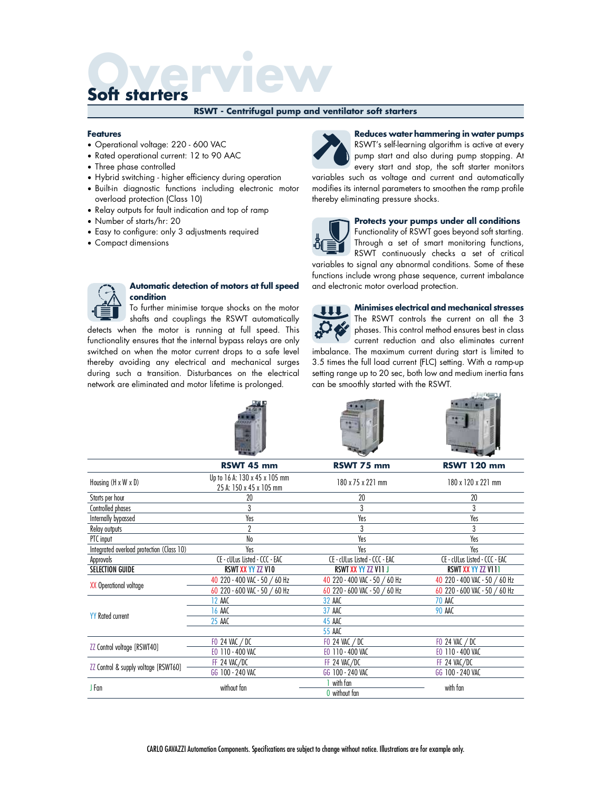# Soft starters **VIEW**

### RSWT - Centrifugal pump and ventilator soft starters

### Features

- Operational voltage: 220 600 VAC
- Rated operational current: 12 to 90 AAC<br>• Three phase controlled
- 
- Hybrid switching higher efficiency during operation
- Built-in diagnostic functions including electronic motor overload protection (Class 10)

Automatic detection of motors at full speed

To further minimise torque shocks on the motor shafts and couplings the RSWT automatically

detects when the motor is running at full speed. This functionality ensures that the internal bypass relays are only switched on when the motor current drops to a safe level thereby avoiding any electrical and mechanical surges during such a transition. Disturbances on the electrical network are eliminated and motor lifetime is prolonged.

- Relay outputs for fault indication and top of ramp
- Number of starts/hr: 20

condition

- Easy to configure: only 3 adjustments required
- Compact dimensions

Reduces water hammering in water pumps RSWT's self-learning algorithm is active at every pump start and also during pump stopping. At every start and stop, the soft starter monitors

variables such as voltage and current and automatically modifies its internal parameters to smoothen the ramp profile thereby eliminating pressure shocks.



### Protects your pumps under all conditions

Functionality of RSWT goes beyond soft starting. Through a set of smart monitoring functions, RSWT continuously checks a set of critical

variables to signal any abnormal conditions. Some of these functions include wrong phase sequence, current imbalance and electronic motor overload protection.



Minimises electrical and mechanical stresses The RSWT controls the current on all the 3 phases. This control method ensures best in class current reduction and also eliminates current



| network are eliminated and motor lifetime is prolonged. | runchonumy ensures murinie miernur bypuss reiuys ure only<br>switched on when the motor current drops to a safe level<br>thereby avoiding any electrical and mechanical surges<br>during such a transition. Disturbances on the electrical | $\sim$ correlii regociioni gilgi giso elimingles correlii<br>imbalance. The maximum current during start is limited to<br>3.5 times the full load current (FLC) setting. With a ramp-up<br>setting range up to 20 sec, both low and medium inertia fans<br>can be smoothly started with the RSWT. |                               |  |  |  |  |
|---------------------------------------------------------|--------------------------------------------------------------------------------------------------------------------------------------------------------------------------------------------------------------------------------------------|---------------------------------------------------------------------------------------------------------------------------------------------------------------------------------------------------------------------------------------------------------------------------------------------------|-------------------------------|--|--|--|--|
|                                                         |                                                                                                                                                                                                                                            |                                                                                                                                                                                                                                                                                                   |                               |  |  |  |  |
|                                                         | RSWT 45 mm                                                                                                                                                                                                                                 | RSWT 75 mm                                                                                                                                                                                                                                                                                        | <b>RSWT 120 mm</b>            |  |  |  |  |
| Housing (H x W x D)                                     | Up to 16 A: 130 x 45 x 105 mm<br>25 A: 150 x 45 x 105 mm                                                                                                                                                                                   | 180 x 75 x 221 mm                                                                                                                                                                                                                                                                                 | 180 x 120 x 221 mm            |  |  |  |  |
| Starts per hour                                         | 20                                                                                                                                                                                                                                         | 20                                                                                                                                                                                                                                                                                                | 20                            |  |  |  |  |
| Controlled phases                                       |                                                                                                                                                                                                                                            | 3                                                                                                                                                                                                                                                                                                 | 3                             |  |  |  |  |
| Internally bypassed                                     | Yes                                                                                                                                                                                                                                        | Yes                                                                                                                                                                                                                                                                                               | Yes                           |  |  |  |  |
| Relay outputs                                           |                                                                                                                                                                                                                                            | 3                                                                                                                                                                                                                                                                                                 | 3                             |  |  |  |  |
| PTC input                                               | No                                                                                                                                                                                                                                         | Yes                                                                                                                                                                                                                                                                                               | Yes                           |  |  |  |  |
| Integrated overload protection (Class 10)               | Yes                                                                                                                                                                                                                                        | Yes                                                                                                                                                                                                                                                                                               | Yes                           |  |  |  |  |
| Approvals                                               | CE - cULus Listed - CCC - EAC                                                                                                                                                                                                              | CE - cULus Listed - CCC - EAC                                                                                                                                                                                                                                                                     | CE - cULus Listed - CCC - EAC |  |  |  |  |
| <b>SELECTION GUIDE</b>                                  | RSWT XX YY ZZ V10                                                                                                                                                                                                                          | RSWT XX YY ZZ V11 J                                                                                                                                                                                                                                                                               | RSWT XX YY ZZ V111            |  |  |  |  |
| <b>XX Operational voltage</b>                           | 40 220 - 400 VAC - 50 / 60 Hz                                                                                                                                                                                                              | 40 220 - 400 VAC - 50 / 60 Hz                                                                                                                                                                                                                                                                     | 40 220 - 400 VAC - 50 / 60 Hz |  |  |  |  |
|                                                         | 60 220 - 600 VAC - 50 / 60 Hz                                                                                                                                                                                                              | 60 220 - 600 VAC - 50 / 60 Hz                                                                                                                                                                                                                                                                     | 60 220 - 600 VAC - 50 / 60 Hz |  |  |  |  |
|                                                         | 12 AAC                                                                                                                                                                                                                                     | 32 AAC                                                                                                                                                                                                                                                                                            | 70 AAC                        |  |  |  |  |
| <b>YY Rated current</b>                                 | 16 AAC                                                                                                                                                                                                                                     | 37 AAC                                                                                                                                                                                                                                                                                            | <b>90 AAC</b>                 |  |  |  |  |
|                                                         | 25 AAC                                                                                                                                                                                                                                     | 45 AAC                                                                                                                                                                                                                                                                                            |                               |  |  |  |  |
|                                                         |                                                                                                                                                                                                                                            | 55 AAC                                                                                                                                                                                                                                                                                            |                               |  |  |  |  |
| ZZ Control voltage [RSWT40]                             | FO 24 VAC / DC                                                                                                                                                                                                                             | FO 24 VAC / DC                                                                                                                                                                                                                                                                                    | FO 24 VAC / DC                |  |  |  |  |
|                                                         | EO 110 - 400 VAC                                                                                                                                                                                                                           | EO 110 - 400 VAC                                                                                                                                                                                                                                                                                  | EO 110 - 400 VAC              |  |  |  |  |
| ZZ Control & supply voltage [RSWT60]                    | FF 24 VAC/DC                                                                                                                                                                                                                               | FF 24 VAC/DC                                                                                                                                                                                                                                                                                      | FF 24 VAC/DC                  |  |  |  |  |
|                                                         | GG 100 - 240 VAC                                                                                                                                                                                                                           | GG 100 - 240 VAC                                                                                                                                                                                                                                                                                  | GG 100 - 240 VAC              |  |  |  |  |
| J Fan                                                   | without fan                                                                                                                                                                                                                                | with fan                                                                                                                                                                                                                                                                                          | with fan                      |  |  |  |  |
|                                                         |                                                                                                                                                                                                                                            | 0 without fan                                                                                                                                                                                                                                                                                     |                               |  |  |  |  |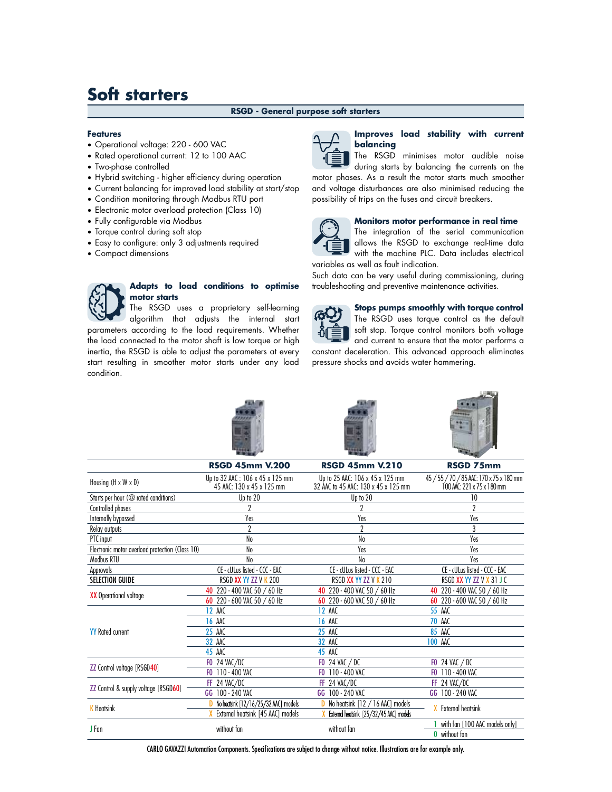# Soft starters

### RSGD - General purpose soft starters

### Features

- Operational voltage: 220 600 VAC
- Rated operational current: 12 to 100 AAC
- Two-phase controlled
- Hybrid switching higher efficiency during operation
- Current balancing for improved load stability at start/stop
- Condition monitoring through Modbus RTU port Electronic motor overload protection (Class 10)
- 
- Fully configurable via Modbus
- Torque control during soft stop
- Easy to configure: only 3 adjustments required
- Compact dimensions



### Adapts to load conditions to optimise motor starts

The RSGD uses a proprietary self-learning algorithm that adjusts the internal start parameters according to the load requirements. Whether

the load connected to the motor shaft is low torque or high inertia, the RSGD is able to adjust the parameters at every start resulting in smoother motor starts under any load condition.



### Improves load stability with current balancing

The RSGD minimises motor audible noise during starts by balancing the currents on the motor phases. As a result the motor starts much smoother and voltage disturbances are also minimised reducing the possibility of trips on the fuses and circuit breakers.



### Monitors motor performance in real time

The integration of the serial communication allows the RSGD to exchange real-time data with the machine PLC. Data includes electrical variables as well as fault indication.

Such data can be very useful during commissioning, during troubleshooting and preventive maintenance activities.



Stops pumps smoothly with torque control The RSGD uses torque control as the default

soft stop. Torque control monitors both voltage and current to ensure that the motor performs a constant deceleration. This advanced approach eliminates pressure shocks and avoids water hammering.

| $sum$ is low lorger of fight<br>ist the parameters at every<br>or starts under any load | pressure shocks and avoids water hammering.                            | and correling cristic line increased beliefing<br>constant deceleration. This advanced approach eliminates |  |
|-----------------------------------------------------------------------------------------|------------------------------------------------------------------------|------------------------------------------------------------------------------------------------------------|--|
|                                                                                         |                                                                        |                                                                                                            |  |
| <b>RSGD 45mm V.200</b>                                                                  | <b>RSGD 45mm V.210</b>                                                 | <b>RSGD 75mm</b>                                                                                           |  |
| Up to 32 AAC: 106 x 45 x 125 mm<br>45 AAC: 130 x 45 x 125 mm                            | Up to 25 AAC: 106 x 45 x 125 mm<br>32 AAC to 45 AAC: 130 x 45 x 125 mm | 45 / 55 / 70 / 85 AAC: 170 x 75 x 180 mm<br>100 AAC: 221 x 75 x 180 mm                                     |  |
| Up to 20                                                                                | Up to 20                                                               |                                                                                                            |  |

| condition.                                      |                                                              |                                                                        |                                                                        |
|-------------------------------------------------|--------------------------------------------------------------|------------------------------------------------------------------------|------------------------------------------------------------------------|
|                                                 |                                                              |                                                                        |                                                                        |
|                                                 | <b>RSGD 45mm V.200</b>                                       | <b>RSGD 45mm V.210</b>                                                 | <b>RSGD 75mm</b>                                                       |
| Housing $(H \times W \times D)$                 | Up to 32 AAC: 106 x 45 x 125 mm<br>45 AAC: 130 x 45 x 125 mm | Up to 25 AAC: 106 x 45 x 125 mm<br>32 AAC to 45 AAC: 130 x 45 x 125 mm | 45 / 55 / 70 / 85 AAC: 170 x 75 x 180 mm<br>100 AAC: 221 x 75 x 180 mm |
| Starts per hour (@ rated conditions)            | Up to 20                                                     | Up to 20                                                               | 10                                                                     |
| Controlled phases                               | $\boldsymbol{\eta}$                                          |                                                                        | $\overline{2}$                                                         |
| Internally bypassed                             | Yes                                                          | Yes                                                                    | Yes                                                                    |
| Relay outputs                                   | $\overline{2}$                                               | $\overline{2}$                                                         | 3                                                                      |
| PTC input                                       | No                                                           | No                                                                     | Yes                                                                    |
| Electronic motor overload protection (Class 10) | No                                                           | Yes                                                                    | Yes                                                                    |
| Modbus RTU                                      | N <sub>0</sub>                                               | No                                                                     | Yes                                                                    |
| Approvals                                       | CE - cULus listed - CCC - EAC                                | CE - cULus listed - CCC - EAC                                          | CE - cULus listed - CCC - EAC                                          |
| <b>SELECTION GUIDE</b>                          | RSGD XX YY ZZ V K 200                                        | RSGD XX YY ZZ V K 210                                                  | RSGD XX YY ZZ V X 31 J C                                               |
| <b>XX</b> Operational voltage                   | 40 220 - 400 VAC 50 / 60 Hz                                  | 40 220 - 400 VAC 50 / 60 Hz                                            | 40 220 - 400 VAC 50 / 60 Hz                                            |
|                                                 | 60 220 - 600 VAC 50 / 60 Hz                                  | 60 220 - 600 VAC 50 / 60 Hz                                            | 60 220 - 600 VAC 50 / 60 Hz                                            |
|                                                 | <b>12 AAC</b>                                                | <b>12 AAC</b>                                                          | <b>55 AAC</b>                                                          |
|                                                 | <b>16 AAC</b>                                                | <b>16 AAC</b>                                                          | <b>70 AAC</b>                                                          |
| <b>YY Rated current</b>                         | <b>25 AAC</b>                                                | <b>25 AAC</b>                                                          | <b>85 AAC</b>                                                          |
|                                                 | <b>32 AAC</b>                                                | <b>32 AAC</b>                                                          | <b>100 AAC</b>                                                         |
|                                                 | <b>45 AAC</b>                                                | <b>45 AAC</b>                                                          |                                                                        |
| ZZ Control voltage [RSGD40]                     | <b>FO</b> 24 VAC/DC                                          | FO 24 VAC / DC                                                         | FO 24 VAC / DC                                                         |
|                                                 | FO 110 - 400 VAC                                             | FO 110 - 400 VAC                                                       | FO 110 - 400 VAC                                                       |
| ZZ Control & supply voltage [RSGD60]            | FF 24 VAC/DC                                                 | FF 24 VAC/DC                                                           | FF 24 VAC/DC                                                           |
|                                                 | GG 100 - 240 VAC                                             | GG 100 - 240 VAC                                                       | GG 100 - 240 VAC                                                       |
| <b>K</b> Heatsink                               | D No heatsink [12/16/25/32 AAC] models                       | D No heatsink [12 / 16 AAC] models                                     | X External heatsink                                                    |
|                                                 | X External heatsink [45 AAC] models                          | External heatsink [25/32/45 AAC] models                                |                                                                        |
| J Fan                                           | without fan                                                  | without fan                                                            | with fan [100 AAC models only]                                         |
|                                                 |                                                              |                                                                        | 0 without fan                                                          |

CARLO GAVAZZI Automation Components. Specifications are subject to change without notice. Illustrations are for example only.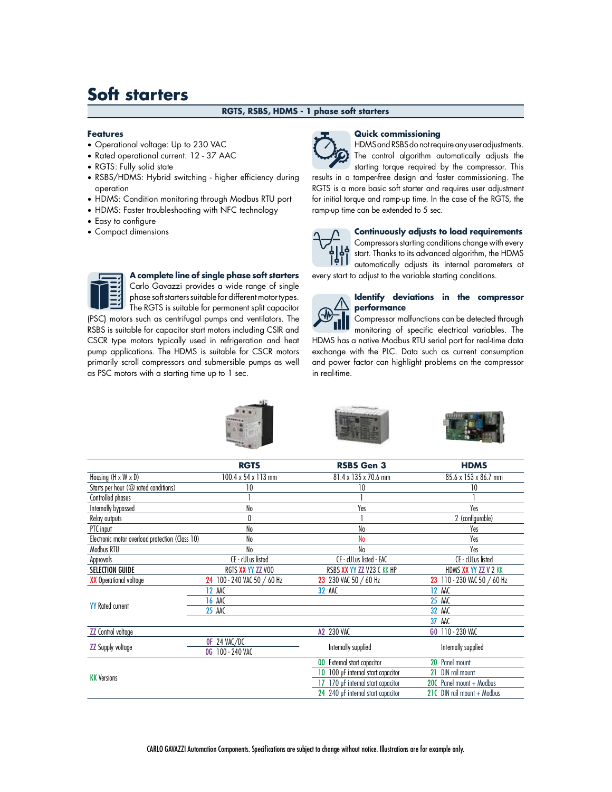# Soft starters

### RGTS, RSBS, HDMS - 1 phase soft starters

### Features

- Operational voltage: Up to 230 VAC
- Rated operational current: 12 37 AAC<br>• RGTS: Fully solid state
- 
- RSBS/HDMS: Hybrid switching higher efficiency during operation
- HDMS: Condition monitoring through Modbus RTU port HDMS: Faster troubleshooting with NFC technology
- 
- Easy to configure
- Compact dimensions



## A complete line of single phase soft starters

Carlo Gavazzi provides a wide range of single phase soft starters suitable for different motor types. The RGTS is suitable for permanent split capacitor

(PSC) motors such as centrifugal pumps and ventilators. The RSBS is suitable for capacitor start motors including CSIR and CSCR type motors typically used in refrigeration and heat pump applications. The HDMS is suitable for CSCR motors primarily scroll compressors and submersible pumps as well as PSC motors with a starting time up to 1 sec.



### Quick commissioning

HDMS and RSBS do not require any user adjustments. The control algorithm automatically adjusts the starting torque required by the compressor. This results in a tamper-free design and faster commissioning. The

RGTS is a more basic soft starter and requires user adjustment for initial torque and ramp-up time. In the case of the RGTS, the ramp-up time can be extended to 5 sec.



### Continuously adjusts to load requirements

Compressors starting conditions change with every start. Thanks to its advanced algorithm, the HDMS automatically adjusts its internal parameters at every start to adjust to the variable starting conditions.



### Identify deviations in the compressor performance

Compressor malfunctions can be detected through monitoring of specific electrical variables. The HDMS has a native Modbus RTU serial port for real-time data exchange with the PLC. Data such as current consumption and power factor can highlight problems on the compressor in real-time.



| COCK Type molors typically used in reingeration and near<br>pump applications. The HDMS is suitable for CSCR motors<br>primarily scroll compressors and submersible pumps as well<br>as PSC motors with a starting time up to 1 sec. |                                  | in real-time.                      | There is a number reduced in the serior port for real-fifted data<br>exchange with the PLC. Data such as current consumption<br>and power factor can highlight problems on the compressor |
|--------------------------------------------------------------------------------------------------------------------------------------------------------------------------------------------------------------------------------------|----------------------------------|------------------------------------|-------------------------------------------------------------------------------------------------------------------------------------------------------------------------------------------|
|                                                                                                                                                                                                                                      |                                  |                                    |                                                                                                                                                                                           |
|                                                                                                                                                                                                                                      | <b>RGTS</b>                      | <b>RSBS Gen 3</b>                  | <b>HDMS</b>                                                                                                                                                                               |
| Housing (H x W x D)                                                                                                                                                                                                                  | 100.4 x 54 x 113 mm              | 81.4 x 135 x 70.6 mm               | 85.6 x 153 x 86.7 mm                                                                                                                                                                      |
| Starts per hour (@ rated conditions)                                                                                                                                                                                                 | 10                               | 10                                 | 10                                                                                                                                                                                        |
| Controlled phases                                                                                                                                                                                                                    |                                  |                                    |                                                                                                                                                                                           |
| Internally bypassed                                                                                                                                                                                                                  | No                               | Yes                                | Yes                                                                                                                                                                                       |
| Relay outputs                                                                                                                                                                                                                        | 0                                |                                    | 2 (configurable)                                                                                                                                                                          |
| PTC input                                                                                                                                                                                                                            | No                               | No                                 | Yes                                                                                                                                                                                       |
| Electronic motor overload protection (Class 10)                                                                                                                                                                                      | No                               | <b>No</b>                          | Yes                                                                                                                                                                                       |
| Modbus RTU                                                                                                                                                                                                                           | No                               | No                                 | Yes                                                                                                                                                                                       |
| Approvals                                                                                                                                                                                                                            | CE - cULus listed                | CE - cULus listed - EAC            | CE - cULus listed                                                                                                                                                                         |
| <b>SELECTION GUIDE</b>                                                                                                                                                                                                               | RGTS XX YY ZZ VOO                | RSBS XX YY ZZ V23 C KK HP          | HDMS XX YY ZZ V 2 KK                                                                                                                                                                      |
| <b>XX</b> Operational voltage                                                                                                                                                                                                        | 24 100 - 240 VAC 50 / 60 Hz      | 23 230 VAC 50 / 60 Hz              | 23 110 - 230 VAC 50 / 60 Hz                                                                                                                                                               |
|                                                                                                                                                                                                                                      | <b>12 AAC</b>                    | <b>32 AAC</b>                      | <b>12 AAC</b>                                                                                                                                                                             |
| <b>YY Rated current</b>                                                                                                                                                                                                              | <b>16 AAC</b>                    |                                    | <b>25 AAC</b>                                                                                                                                                                             |
|                                                                                                                                                                                                                                      | <b>25 AAC</b>                    |                                    | <b>32 AAC</b>                                                                                                                                                                             |
|                                                                                                                                                                                                                                      |                                  |                                    | 37 AAC                                                                                                                                                                                    |
| <b>ZZ</b> Control voltage                                                                                                                                                                                                            |                                  | A2 230 VAC                         | GO 110 - 230 VAC                                                                                                                                                                          |
| <b>ZZ</b> Supply voltage                                                                                                                                                                                                             | OF 24 VAC/DC<br>0G 100 - 240 VAC | Internally supplied                | Internally supplied                                                                                                                                                                       |
|                                                                                                                                                                                                                                      |                                  | 00 External start capacitor        | 20 Panel mount                                                                                                                                                                            |
| <b>KK</b> Versions                                                                                                                                                                                                                   |                                  | 10 100 µF internal start capacitor | 21 DIN rail mount                                                                                                                                                                         |
|                                                                                                                                                                                                                                      |                                  | 17 170 µF internal start capacitor | 20C Panel mount + Modbus                                                                                                                                                                  |
|                                                                                                                                                                                                                                      |                                  | 24 240 µF internal start capacitor | 21C DIN rail mount + Modbus                                                                                                                                                               |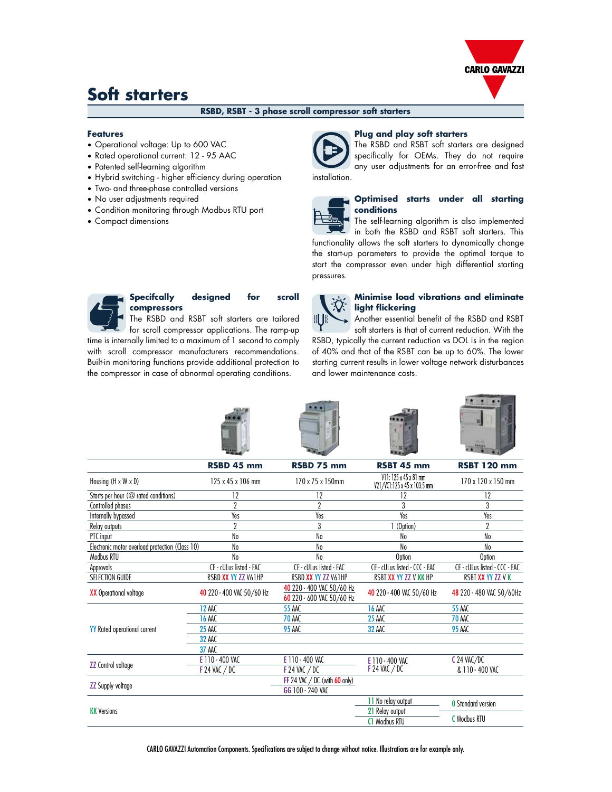

# Soft starters

### RSBD, RSBT - 3 phase scroll compressor soft starters

### Features

- Operational voltage: Up to 600 VAC
- Rated operational current: 12 95 AAC
- Patented self-learning algorithm
- Hybrid switching higher efficiency during operation
- Two- and three-phase controlled versions
- No user adjustments required
- Condition monitoring through Modbus RTU port
- Compact dimensions



### Plug and play soft starters

The RSBD and RSBT soft starters are designed specifically for OEMs. They do not require any user adjustments for an error-free and fast



### Optimised starts under all starting conditions

The self-learning algorithm is also implemented in both the RSBD and RSBT soft starters. This functionality allows the soft starters to dynamically change the start-up parameters to provide the optimal torque to start the compressor even under high differential starting pressures.



### Specifcally designed for scroll compressors

The RSBD and RSBT soft starters are tailored for scroll compressor applications. The ramp-up

time is internally limited to a maximum of 1 second to comply with scroll compressor manufacturers recommendations. Built-in monitoring functions provide additional protection to the compressor in case of abnormal operating conditions.



### Minimise load vibrations and eliminate light flickering

Another essential benefit of the RSBD and RSBT soft starters is that of current reduction. With the RSBD, typically the current reduction vs DOL is in the region of 40% and that of the RSBT can be up to 60%. The lower starting current results in lower voltage network disturbances and lower maintenance costs.

| three is imeritally immed to a maximum of T second to comply<br>with scroll compressor manufacturers recommendations.<br>Built-in monitoring functions provide additional protection to<br>the compressor in case of abnormal operating conditions. |                           |                                                        | KODD, Typically file correll reduction vs DOL is in the region<br>of 40% and that of the RSBT can be up to 60%. The lower<br>starting current results in lower voltage network disturbances<br>and lower maintenance costs. |                               |
|-----------------------------------------------------------------------------------------------------------------------------------------------------------------------------------------------------------------------------------------------------|---------------------------|--------------------------------------------------------|-----------------------------------------------------------------------------------------------------------------------------------------------------------------------------------------------------------------------------|-------------------------------|
|                                                                                                                                                                                                                                                     |                           |                                                        |                                                                                                                                                                                                                             |                               |
|                                                                                                                                                                                                                                                     | RSBD 45 mm                | RSBD 75 mm                                             | RSBT 45 mm                                                                                                                                                                                                                  | <b>RSBT 120 mm</b>            |
| Housing $(H \times W \times D)$                                                                                                                                                                                                                     | 125 x 45 x 106 mm         | 170 x 75 x 150mm                                       | V11:125 x 45 x 81 mm<br>V21/VC1:125 x 45 x 103.5 mm                                                                                                                                                                         | 170 x 120 x 150 mm            |
| Starts per hour (@ rated conditions)                                                                                                                                                                                                                | 12                        | 12                                                     | 12                                                                                                                                                                                                                          | 12                            |
| Controlled phases                                                                                                                                                                                                                                   | $\overline{2}$            | $\overline{2}$                                         | 3                                                                                                                                                                                                                           | 3                             |
| Internally bypassed                                                                                                                                                                                                                                 | Yes                       | Yes                                                    | Yes                                                                                                                                                                                                                         | Yes                           |
| Relay outputs                                                                                                                                                                                                                                       | $\gamma$                  | 3                                                      | 1 (Option)                                                                                                                                                                                                                  | $\overline{2}$                |
| PTC input                                                                                                                                                                                                                                           | N <sub>0</sub>            | No                                                     | No                                                                                                                                                                                                                          | No                            |
| Electronic motor overload protection (Class 10)                                                                                                                                                                                                     | N <sub>0</sub>            | No                                                     | No                                                                                                                                                                                                                          | No                            |
| Modbus RTU                                                                                                                                                                                                                                          | No                        | No                                                     | Option                                                                                                                                                                                                                      | Option                        |
| Approvals                                                                                                                                                                                                                                           | CE - cULus listed - EAC   | CE - cULus listed - EAC                                | CE - cULus listed - CCC - EAC                                                                                                                                                                                               | CE - cULus listed - CCC - EAC |
| SELECTION GUIDE                                                                                                                                                                                                                                     | RSBD XX YY ZZ V61HP       | RSBD XX YY ZZ V61HP                                    | RSBT XX YY ZZ V KK HP                                                                                                                                                                                                       | RSBT XX YY ZZ V K             |
| <b>XX</b> Operational voltage                                                                                                                                                                                                                       | 40 220 - 400 VAC 50/60 Hz | 40 220 - 400 VAC 50/60 Hz<br>60 220 - 600 VAC 50/60 Hz | 40 220 - 400 VAC 50/60 Hz                                                                                                                                                                                                   | 48 220 - 480 VAC 50/60Hz      |
|                                                                                                                                                                                                                                                     | 12 AAC                    | <b>55 AAC</b>                                          | <b>16 AAC</b>                                                                                                                                                                                                               | <b>55 AAC</b>                 |
|                                                                                                                                                                                                                                                     | <b>16 AAC</b>             | <b>70 AAC</b>                                          | <b>25 AAC</b>                                                                                                                                                                                                               | <b>70 AAC</b>                 |
| <b>YY</b> Rated operational current                                                                                                                                                                                                                 | <b>25 AAC</b>             | <b>95 AAC</b>                                          | <b>32 AAC</b>                                                                                                                                                                                                               | <b>95 AAC</b>                 |
|                                                                                                                                                                                                                                                     | <b>32 AAC</b>             |                                                        |                                                                                                                                                                                                                             |                               |
|                                                                                                                                                                                                                                                     | <b>37 AAC</b>             |                                                        |                                                                                                                                                                                                                             |                               |
|                                                                                                                                                                                                                                                     | E 110 - 400 VAC           | E 110 - 400 VAC                                        | E 110 - 400 VAC                                                                                                                                                                                                             | $C$ 24 VAC/DC                 |
| <b>ZZ Control voltage</b>                                                                                                                                                                                                                           | <b>F 24 VAC / DC</b>      | <b>F24 VAC /DC</b>                                     | $F$ 24 VAC $/DC$                                                                                                                                                                                                            | & 110 - 400 VAC               |
| <b>ZZ</b> Supply voltage                                                                                                                                                                                                                            |                           | FF 24 VAC $/$ DC (with $60$ only)<br>GG 100 - 240 VAC  |                                                                                                                                                                                                                             |                               |
|                                                                                                                                                                                                                                                     |                           |                                                        | 11 No relay output                                                                                                                                                                                                          | <b>O</b> Standard version     |
| <b>KK Versions</b>                                                                                                                                                                                                                                  |                           |                                                        | 21 Relay output                                                                                                                                                                                                             |                               |
|                                                                                                                                                                                                                                                     |                           |                                                        | <b>C1 Modbus RTU</b>                                                                                                                                                                                                        | <b>C</b> Modbus RTU           |